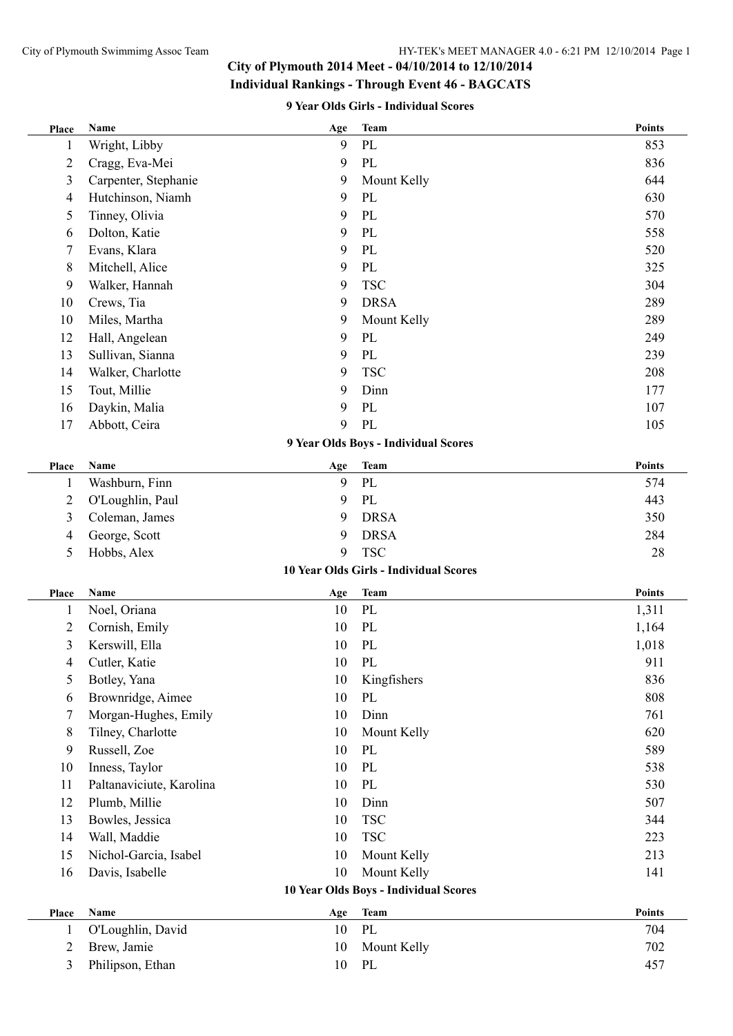#### **9 Year Olds Girls - Individual Scores**

| Place          | Name                     | Age | <b>Team</b>                            | <b>Points</b> |
|----------------|--------------------------|-----|----------------------------------------|---------------|
| 1              | Wright, Libby            | 9   | PL                                     | 853           |
| 2              | Cragg, Eva-Mei           | 9   | PL                                     | 836           |
| 3              | Carpenter, Stephanie     | 9   | Mount Kelly                            | 644           |
| 4              | Hutchinson, Niamh        | 9   | PL                                     | 630           |
| 5              | Tinney, Olivia           | 9   | PL                                     | 570           |
| 6              | Dolton, Katie            | 9   | PL                                     | 558           |
| 7              | Evans, Klara             | 9   | PL                                     | 520           |
| 8              | Mitchell, Alice          | 9   | PL                                     | 325           |
| 9              | Walker, Hannah           | 9   | <b>TSC</b>                             | 304           |
| 10             | Crews, Tia               | 9   | <b>DRSA</b>                            | 289           |
| 10             | Miles, Martha            | 9   | Mount Kelly                            | 289           |
| 12             | Hall, Angelean           | 9   | PL                                     | 249           |
| 13             | Sullivan, Sianna         | 9   | PL                                     | 239           |
| 14             | Walker, Charlotte        | 9   | <b>TSC</b>                             | 208           |
| 15             | Tout, Millie             | 9   | Dinn                                   | 177           |
| 16             | Daykin, Malia            | 9   | PL                                     | 107           |
| 17             | Abbott, Ceira            | 9   | PL                                     | 105           |
|                |                          |     | 9 Year Olds Boys - Individual Scores   |               |
| Place          | Name                     | Age | <b>Team</b>                            | <b>Points</b> |
| 1              | Washburn, Finn           | 9   | PL                                     | 574           |
| 2              | O'Loughlin, Paul         | 9   | PL                                     | 443           |
| 3              | Coleman, James           | 9   | <b>DRSA</b>                            | 350           |
| 4              | George, Scott            | 9   | <b>DRSA</b>                            | 284           |
| 5              | Hobbs, Alex              | 9   | <b>TSC</b>                             | 28            |
|                |                          |     | 10 Year Olds Girls - Individual Scores |               |
| Place          | Name                     | Age | <b>Team</b>                            | <b>Points</b> |
| 1              | Noel, Oriana             | 10  | PL                                     | 1,311         |
| $\overline{c}$ | Cornish, Emily           | 10  | PL                                     | 1,164         |
| 3              | Kerswill, Ella           | 10  | PL                                     | 1,018         |
| 4              | Cutler, Katie            | 10  | PL                                     | 911           |
| 5              | Botley, Yana             | 10  | Kingfishers                            | 836           |
| 6              | Brownridge, Aimee        | 10  | PL                                     | 808           |
| 7              | Morgan-Hughes, Emily     | 10  | Dinn                                   | 761           |
| 8              | Tilney, Charlotte        | 10  | Mount Kelly                            | 620           |
| 9              | Russell, Zoe             | 10  | PL                                     | 589           |
| 10             | Inness, Taylor           | 10  | PL                                     | 538           |
| 11             | Paltanaviciute, Karolina | 10  | PL                                     | 530           |
| 12             | Plumb, Millie            | 10  | Dinn                                   | 507           |
| 13             | Bowles, Jessica          | 10  | <b>TSC</b>                             | 344           |
| 14             | Wall, Maddie             | 10  | <b>TSC</b>                             | 223           |
| 15             | Nichol-Garcia, Isabel    | 10  | Mount Kelly                            | 213           |
| 16             | Davis, Isabelle          | 10  | Mount Kelly                            | 141           |
|                |                          |     | 10 Year Olds Boys - Individual Scores  |               |
|                |                          |     | <b>Team</b>                            | <b>Points</b> |
| Place          | Name                     | Age |                                        |               |
| 1              | O'Loughlin, David        | 10  | PL                                     | 704           |
| $\overline{c}$ | Brew, Jamie              | 10  | Mount Kelly                            | 702           |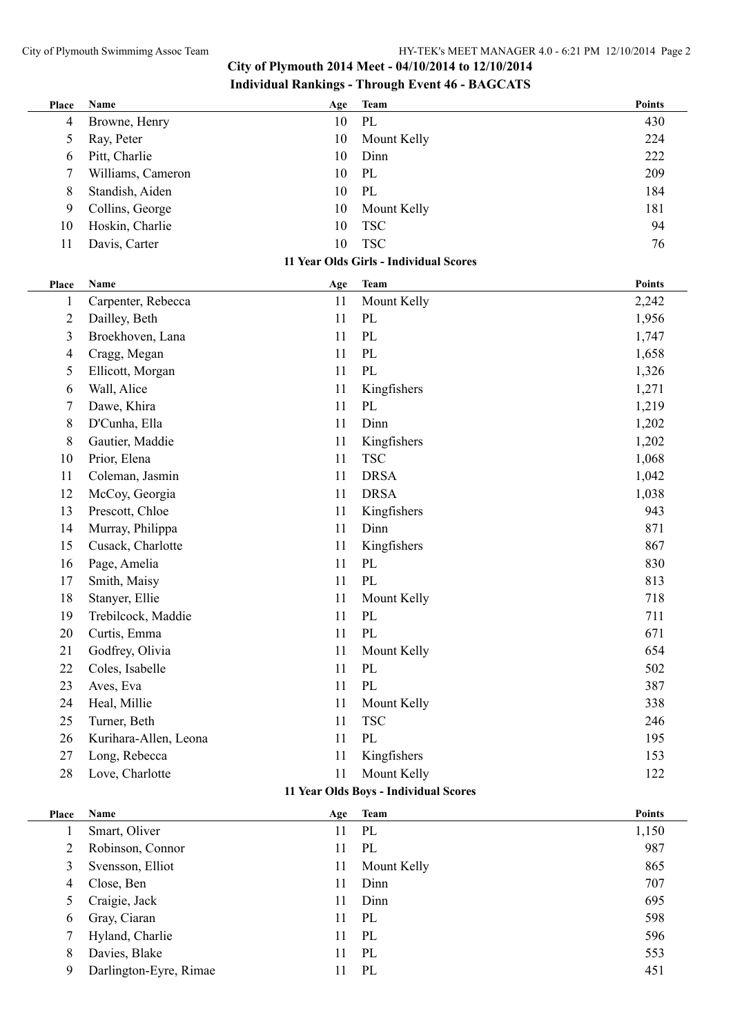| Place                                 | <b>Name</b>            | Age | <b>Team</b>                            | <b>Points</b> |  |
|---------------------------------------|------------------------|-----|----------------------------------------|---------------|--|
| 4                                     | Browne, Henry          | 10  | PL                                     | 430           |  |
| 5                                     | Ray, Peter             | 10  | Mount Kelly                            | 224           |  |
| 6                                     | Pitt, Charlie          | 10  | Dinn                                   | 222           |  |
| 7                                     | Williams, Cameron      | 10  | PL                                     | 209           |  |
| 8                                     | Standish, Aiden        | 10  | PL                                     | 184           |  |
| 9                                     | Collins, George        | 10  | Mount Kelly                            | 181           |  |
| 10                                    | Hoskin, Charlie        | 10  | <b>TSC</b>                             | 94            |  |
| 11                                    | Davis, Carter          | 10  | <b>TSC</b>                             | 76            |  |
|                                       |                        |     | 11 Year Olds Girls - Individual Scores |               |  |
| Place                                 | Name                   | Age | <b>Team</b>                            | <b>Points</b> |  |
| 1                                     | Carpenter, Rebecca     | 11  | Mount Kelly                            | 2,242         |  |
| $\overline{c}$                        | Dailley, Beth          | 11  | PL                                     | 1,956         |  |
| 3                                     | Broekhoven, Lana       | 11  | PL                                     | 1,747         |  |
| 4                                     | Cragg, Megan           | 11  | PL                                     | 1,658         |  |
| 5                                     | Ellicott, Morgan       | 11  | PL                                     | 1,326         |  |
| 6                                     | Wall, Alice            | 11  | Kingfishers                            | 1,271         |  |
| 7                                     | Dawe, Khira            | 11  | PL                                     | 1,219         |  |
| 8                                     | D'Cunha, Ella          | 11  | Dinn                                   | 1,202         |  |
| 8                                     | Gautier, Maddie        | 11  | Kingfishers                            | 1,202         |  |
| 10                                    | Prior, Elena           | 11  | <b>TSC</b>                             | 1,068         |  |
| 11                                    | Coleman, Jasmin        | 11  | <b>DRSA</b>                            | 1,042         |  |
| 12                                    | McCoy, Georgia         | 11  | <b>DRSA</b>                            | 1,038         |  |
| 13                                    | Prescott, Chloe        | 11  | Kingfishers                            | 943           |  |
| 14                                    | Murray, Philippa       | 11  | Dinn                                   | 871           |  |
| 15                                    | Cusack, Charlotte      | 11  | Kingfishers                            | 867           |  |
| 16                                    | Page, Amelia           | 11  | $\rm PL$                               | 830           |  |
| 17                                    | Smith, Maisy           | 11  | PL                                     | 813           |  |
| 18                                    | Stanyer, Ellie         | 11  | Mount Kelly                            | 718           |  |
| 19                                    | Trebilcock, Maddie     | 11  | PL                                     | 711           |  |
| 20                                    | Curtis, Emma           | 11  | PL                                     | 671           |  |
| 21                                    | Godfrey, Olivia        | 11  | Mount Kelly                            | 654           |  |
| 22                                    | Coles, Isabelle        | 11  | PL                                     | 502           |  |
| 23                                    | Aves, Eva              | 11  | PL                                     | 387           |  |
| 24                                    | Heal, Millie           | 11  | Mount Kelly                            | 338           |  |
| 25                                    | Turner, Beth           | 11  | <b>TSC</b>                             | 246           |  |
| 26                                    | Kurihara-Allen, Leona  | 11  | PL                                     | 195           |  |
| 27                                    | Long, Rebecca          | 11  | Kingfishers                            | 153           |  |
| 28                                    | Love, Charlotte        | 11  | Mount Kelly                            | 122           |  |
| 11 Year Olds Boys - Individual Scores |                        |     |                                        |               |  |
| Place                                 | Name                   | Age | <b>Team</b>                            | <b>Points</b> |  |
| 1                                     | Smart, Oliver          | 11  | $\rm PL$                               | 1,150         |  |
| $\overline{2}$                        | Robinson, Connor       | 11  | $\rm PL$                               | 987           |  |
| 3                                     | Svensson, Elliot       | 11  | Mount Kelly                            | 865           |  |
| $\overline{4}$                        | Close, Ben             | 11  | Dinn                                   | 707           |  |
| 5                                     | Craigie, Jack          | 11  | Dinn                                   | 695           |  |
| 6                                     | Gray, Ciaran           | 11  | PL                                     | 598           |  |
| 7                                     | Hyland, Charlie        | 11  | $\rm PL$                               | 596           |  |
| 8                                     | Davies, Blake          | 11  | $\rm PL$                               | 553           |  |
| 9                                     | Darlington-Eyre, Rimae | 11  | PL                                     | 451           |  |
|                                       |                        |     |                                        |               |  |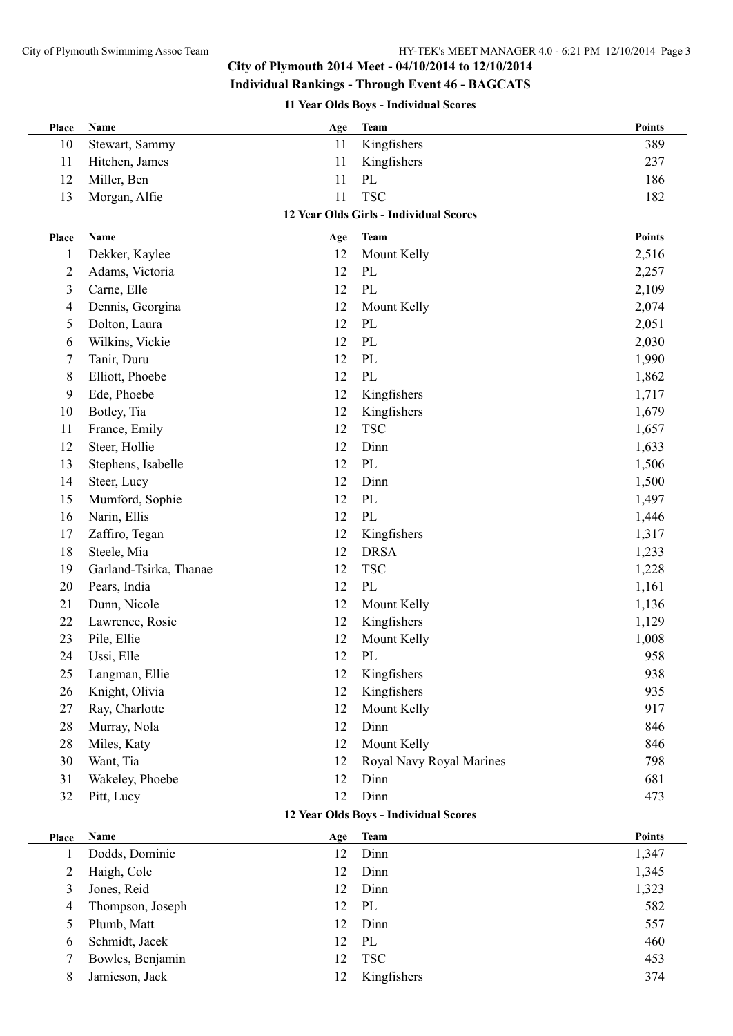### **City of Plymouth 2014 Meet - 04/10/2014 to 12/10/2014**

### **Individual Rankings - Through Event 46 - BAGCATS**

**11 Year Olds Boys - Individual Scores**

| Place          | Name                   | Age       | <b>Team</b>                                   | <b>Points</b> |
|----------------|------------------------|-----------|-----------------------------------------------|---------------|
| 10             | Stewart, Sammy         | 11        | Kingfishers                                   | 389           |
| 11             | Hitchen, James         | 11        | Kingfishers                                   | 237           |
| 12             | Miller, Ben            | 11        | PL                                            | 186           |
| 13             | Morgan, Alfie          | 11        | <b>TSC</b>                                    | 182           |
|                |                        |           | 12 Year Olds Girls - Individual Scores        |               |
| Place          | <b>Name</b>            | Age       | <b>Team</b>                                   | <b>Points</b> |
| 1              | Dekker, Kaylee         | 12        | Mount Kelly                                   | 2,516         |
| 2              | Adams, Victoria        | 12        | PL                                            | 2,257         |
| 3              | Carne, Elle            | 12        | PL                                            | 2,109         |
| 4              | Dennis, Georgina       | 12        | Mount Kelly                                   | 2,074         |
| 5              | Dolton, Laura          | 12        | PL                                            | 2,051         |
| 6              | Wilkins, Vickie        | 12        | PL                                            | 2,030         |
| 7              | Tanir, Duru            | 12        | PL                                            | 1,990         |
| 8              | Elliott, Phoebe        | 12        | PL                                            | 1,862         |
| 9              | Ede, Phoebe            | 12        | Kingfishers                                   | 1,717         |
| 10             | Botley, Tia            | 12        | Kingfishers                                   | 1,679         |
| 11             | France, Emily          | 12        | <b>TSC</b>                                    | 1,657         |
| 12             | Steer, Hollie          | 12        | Dinn                                          | 1,633         |
| 13             | Stephens, Isabelle     | 12        | PL                                            | 1,506         |
| 14             | Steer, Lucy            | 12        | Dinn                                          | 1,500         |
| 15             | Mumford, Sophie        | 12        | PL                                            | 1,497         |
| 16             | Narin, Ellis           | 12        | PL                                            | 1,446         |
| 17             | Zaffiro, Tegan         | 12        | Kingfishers                                   | 1,317         |
| 18             | Steele, Mia            | 12        | <b>DRSA</b>                                   | 1,233         |
| 19             | Garland-Tsirka, Thanae | 12        | <b>TSC</b>                                    | 1,228         |
| 20             | Pears, India           | 12        | PL                                            | 1,161         |
| 21             | Dunn, Nicole           | 12        | Mount Kelly                                   | 1,136         |
| 22             | Lawrence, Rosie        | 12        | Kingfishers                                   | 1,129         |
| 23             |                        | 12        | Mount Kelly                                   |               |
|                | Pile, Ellie            | 12        |                                               | 1,008<br>958  |
| 24             | Ussi, Elle             |           | PL                                            |               |
| 25             | Langman, Ellie         | 12        | Kingfishers                                   | 938           |
| 26             | Knight, Olivia         | 12        | Kingfishers                                   | 935           |
| 27             | Ray, Charlotte         | 12        | Mount Kelly                                   | 917           |
| 28             | Murray, Nola           | 12        | Dinn                                          | 846           |
| 28             | Miles, Katy            | 12        | Mount Kelly                                   | 846           |
| 30             | Want, Tia              | 12        | Royal Navy Royal Marines                      | 798           |
| 31             | Wakeley, Phoebe        | 12        | Dinn                                          | 681           |
| 32             | Pitt, Lucy             | 12        | Dinn<br>12 Year Olds Boys - Individual Scores | 473           |
|                |                        |           |                                               | <b>Points</b> |
| Place          | Name<br>Dodds, Dominic | Age<br>12 | <b>Team</b><br>Dinn                           | 1,347         |
| 1              |                        | 12        | Dinn                                          | 1,345         |
| $\overline{c}$ | Haigh, Cole            | 12        | Dinn                                          |               |
| 3              | Jones, Reid            |           |                                               | 1,323         |
| 4              | Thompson, Joseph       | 12        | PL                                            | 582           |
| 5              | Plumb, Matt            | 12        | Dinn                                          | 557           |
| 6              | Schmidt, Jacek         | 12        | PL                                            | 460           |
| 7              | Bowles, Benjamin       | 12        | <b>TSC</b>                                    | 453           |

8 Jamieson, Jack 12 Kingfishers 374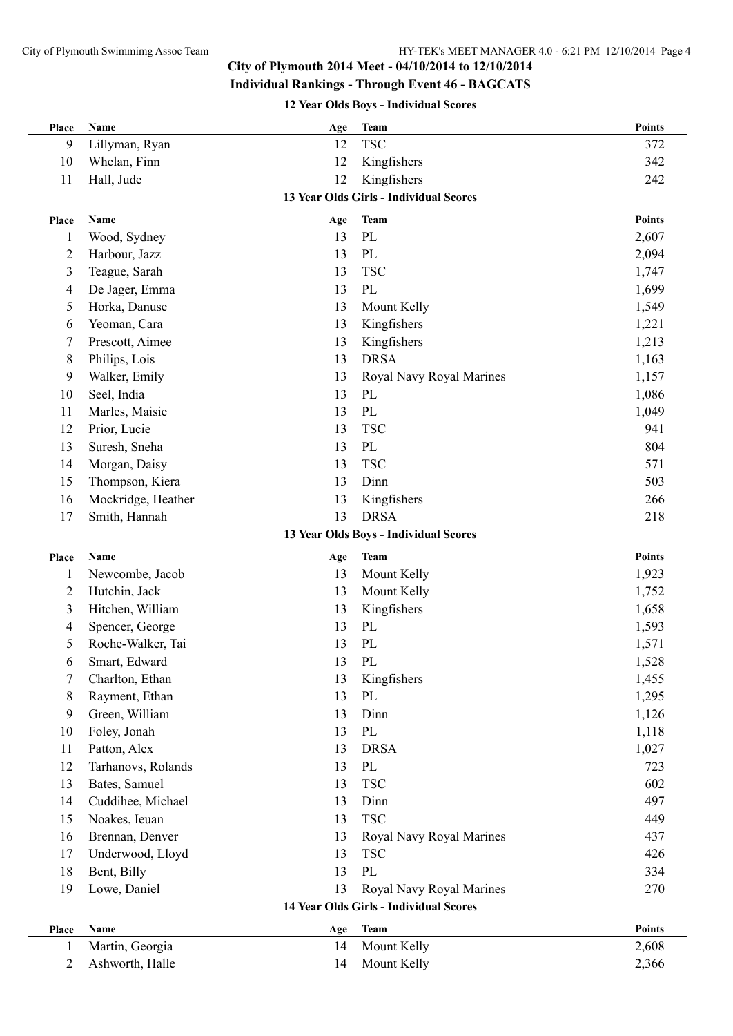## **City of Plymouth 2014 Meet - 04/10/2014 to 12/10/2014**

**Individual Rankings - Through Event 46 - BAGCATS**

**12 Year Olds Boys - Individual Scores**

| Place          | Name               | Age       | <b>Team</b>                                   | <b>Points</b> |
|----------------|--------------------|-----------|-----------------------------------------------|---------------|
| 9              | Lillyman, Ryan     | 12        | <b>TSC</b>                                    | 372           |
| 10             | Whelan, Finn       | 12        | Kingfishers                                   | 342           |
| 11             | Hall, Jude         | 12        | Kingfishers                                   | 242           |
|                |                    |           | 13 Year Olds Girls - Individual Scores        |               |
| Place          | Name               | Age       | <b>Team</b>                                   | <b>Points</b> |
| $\mathbf{1}$   | Wood, Sydney       | 13        | PL                                            | 2,607         |
| $\overline{2}$ | Harbour, Jazz      | 13        | $\rm PL$                                      | 2,094         |
| 3              | Teague, Sarah      | 13        | <b>TSC</b>                                    | 1,747         |
| 4              | De Jager, Emma     | 13        | PL                                            | 1,699         |
| 5              | Horka, Danuse      | 13        | Mount Kelly                                   | 1,549         |
| 6              | Yeoman, Cara       | 13        | Kingfishers                                   | 1,221         |
| 7              | Prescott, Aimee    | 13        | Kingfishers                                   | 1,213         |
| 8              | Philips, Lois      | 13        | <b>DRSA</b>                                   | 1,163         |
| 9              | Walker, Emily      | 13        | Royal Navy Royal Marines                      | 1,157         |
| 10             | Seel, India        | 13        | PL                                            | 1,086         |
| 11             | Marles, Maisie     | 13        | $\rm PL$                                      | 1,049         |
| 12             | Prior, Lucie       | 13        | <b>TSC</b>                                    | 941           |
| 13             | Suresh, Sneha      | 13        | $\rm PL$                                      | 804           |
| 14             | Morgan, Daisy      | 13        | <b>TSC</b>                                    | 571           |
| 15             | Thompson, Kiera    | 13        | Dinn                                          | 503           |
| 16             | Mockridge, Heather | 13        | Kingfishers                                   | 266           |
| 17             | Smith, Hannah      | 13        | <b>DRSA</b>                                   | 218           |
|                |                    |           | 13 Year Olds Boys - Individual Scores         |               |
| Place          | Name               | Age       | <b>Team</b>                                   | <b>Points</b> |
| $\mathbf{1}$   | Newcombe, Jacob    | 13        | Mount Kelly                                   | 1,923         |
| $\overline{2}$ | Hutchin, Jack      | 13        | Mount Kelly                                   | 1,752         |
| 3              | Hitchen, William   | 13        | Kingfishers                                   | 1,658         |
| 4              | Spencer, George    | 13        | PL                                            | 1,593         |
| 5              | Roche-Walker, Tai  | 13        | PL                                            | 1,571         |
| 6              | Smart, Edward      | 13        | PL                                            | 1,528         |
| 7              | Charlton, Ethan    | 13        | Kingfishers                                   | 1,455         |
| 8              | Rayment, Ethan     | 13        | PL                                            | 1,295         |
| 9              | Green, William     | 13        | Dinn                                          | 1,126         |
| 10             | Foley, Jonah       | 13        | $\rm PL$                                      | 1,118         |
| 11             | Patton, Alex       | 13        | <b>DRSA</b>                                   | 1,027         |
| 12             | Tarhanovs, Rolands | 13        | $\rm PL$                                      | 723           |
| 13             | Bates, Samuel      | 13        | <b>TSC</b>                                    | 602           |
| 14             | Cuddihee, Michael  | 13        | Dinn                                          | 497           |
| 15             | Noakes, Ieuan      | 13        | <b>TSC</b>                                    | 449           |
| 16             | Brennan, Denver    | 13        | Royal Navy Royal Marines                      | 437           |
| 17             | Underwood, Lloyd   | 13        | <b>TSC</b>                                    | 426           |
| 18             | Bent, Billy        | 13        | PL                                            | 334           |
| 19             | Lowe, Daniel       | 13        | Royal Navy Royal Marines                      | 270           |
|                |                    |           | <b>14 Year Olds Girls - Individual Scores</b> |               |
|                | Name               |           | <b>Team</b>                                   | <b>Points</b> |
| Place<br>1     | Martin, Georgia    | Age<br>14 | Mount Kelly                                   | 2,608         |
| 2              | Ashworth, Halle    | 14        | Mount Kelly                                   | 2,366         |
|                |                    |           |                                               |               |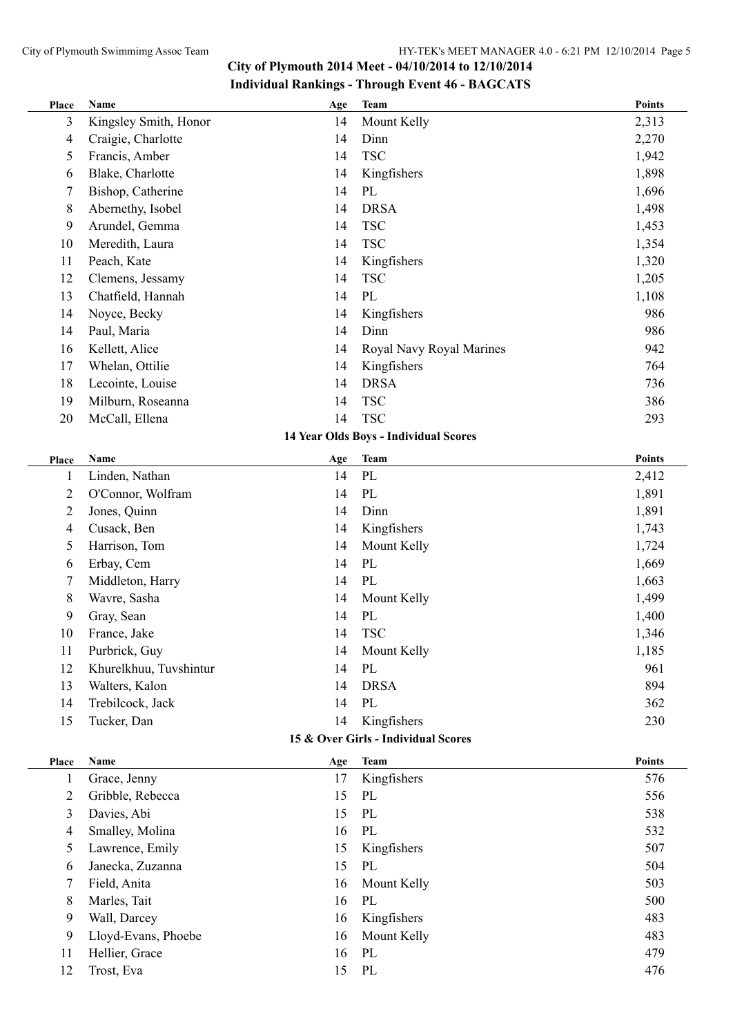#### City of Plymouth Swimmimg Assoc Team HY-TEK's MEET MANAGER 4.0 - 6:21 PM 12/10/2014 Page 5

# **City of Plymouth 2014 Meet - 04/10/2014 to 12/10/2014 Individual Rankings - Through Event 46 - BAGCATS**

| Place                               | Name                   | Age       | <b>Team</b>                           | <b>Points</b> |  |  |
|-------------------------------------|------------------------|-----------|---------------------------------------|---------------|--|--|
| 3                                   | Kingsley Smith, Honor  | 14        | Mount Kelly                           | 2,313         |  |  |
| 4                                   | Craigie, Charlotte     | 14        | Dinn                                  | 2,270         |  |  |
| 5                                   | Francis, Amber         | 14        | <b>TSC</b>                            | 1,942         |  |  |
| 6                                   | Blake, Charlotte       | 14        | Kingfishers                           | 1,898         |  |  |
| 7                                   | Bishop, Catherine      | 14        | PL                                    | 1,696         |  |  |
| 8                                   | Abernethy, Isobel      | 14        | <b>DRSA</b>                           | 1,498         |  |  |
| 9                                   | Arundel, Gemma         | 14        | <b>TSC</b>                            | 1,453         |  |  |
| 10                                  | Meredith, Laura        | 14        | <b>TSC</b>                            | 1,354         |  |  |
| 11                                  | Peach, Kate            | 14        | Kingfishers                           | 1,320         |  |  |
| 12                                  | Clemens, Jessamy       | 14        | <b>TSC</b>                            | 1,205         |  |  |
| 13                                  | Chatfield, Hannah      | 14        | PL                                    | 1,108         |  |  |
| 14                                  | Noyce, Becky           | 14        | Kingfishers                           | 986           |  |  |
| 14                                  | Paul, Maria            | 14        | Dinn                                  | 986           |  |  |
| 16                                  | Kellett, Alice         | 14        | Royal Navy Royal Marines              | 942           |  |  |
| 17                                  | Whelan, Ottilie        | 14        | Kingfishers                           | 764           |  |  |
| 18                                  | Lecointe, Louise       | 14        | <b>DRSA</b>                           | 736           |  |  |
| 19                                  | Milburn, Roseanna      | 14        | <b>TSC</b>                            | 386           |  |  |
| 20                                  | McCall, Ellena         | 14        | <b>TSC</b>                            | 293           |  |  |
|                                     |                        |           | 14 Year Olds Boys - Individual Scores |               |  |  |
| Place                               | Name                   | Age       | <b>Team</b>                           | Points        |  |  |
| 1                                   | Linden, Nathan         | 14        | PL                                    | 2,412         |  |  |
| $\overline{2}$                      | O'Connor, Wolfram      | 14        | PL                                    | 1,891         |  |  |
| $\overline{c}$                      | Jones, Quinn           | 14        | Dinn                                  | 1,891         |  |  |
| 4                                   | Cusack, Ben            | 14        | Kingfishers                           | 1,743         |  |  |
| 5                                   | Harrison, Tom          | 14        | Mount Kelly                           | 1,724         |  |  |
| 6                                   | Erbay, Cem             | 14        | PL                                    | 1,669         |  |  |
| 7                                   | Middleton, Harry       | 14        | PL                                    | 1,663         |  |  |
| $8\,$                               | Wavre, Sasha           | 14        | Mount Kelly                           | 1,499         |  |  |
| 9                                   | Gray, Sean             | 14        | PL                                    | 1,400         |  |  |
| 10                                  | France, Jake           | 14        | <b>TSC</b>                            | 1,346         |  |  |
| 11                                  | Purbrick, Guy          | 14        | Mount Kelly                           | 1,185         |  |  |
| 12                                  | Khurelkhuu, Tuvshintur | 14        | PL                                    | 961           |  |  |
| 13                                  | Walters, Kalon         | 14        | <b>DRSA</b>                           | 894           |  |  |
| 14                                  | Trebilcock, Jack       | 14        | PL                                    | 362           |  |  |
| 15                                  | Tucker, Dan            | 14        | Kingfishers                           | 230           |  |  |
| 15 & Over Girls - Individual Scores |                        |           |                                       |               |  |  |
| Place                               | Name                   |           | <b>Team</b>                           | <b>Points</b> |  |  |
| 1                                   | Grace, Jenny           | Age<br>17 | Kingfishers                           | 576           |  |  |
| $\overline{c}$                      | Gribble, Rebecca       | 15        | PL                                    | 556           |  |  |
| 3                                   | Davies, Abi            | 15        | PL                                    | 538           |  |  |
| 4                                   | Smalley, Molina        | 16        | PL                                    | 532           |  |  |
| 5                                   | Lawrence, Emily        | 15        | Kingfishers                           | 507           |  |  |
| 6                                   | Janecka, Zuzanna       | 15        | PL                                    | 504           |  |  |
| 7                                   | Field, Anita           | 16        | Mount Kelly                           | 503           |  |  |
| $8\,$                               | Marles, Tait           | 16        | PL                                    | 500           |  |  |
| 9                                   | Wall, Darcey           | 16        | Kingfishers                           | 483           |  |  |
| 9                                   | Lloyd-Evans, Phoebe    | 16        | Mount Kelly                           | 483           |  |  |
| 11                                  | Hellier, Grace         | 16        | PL                                    | 479           |  |  |
| 12                                  | Trost, Eva             | 15        | $\mathbf{P}\mathbf{L}$                | 476           |  |  |
|                                     |                        |           |                                       |               |  |  |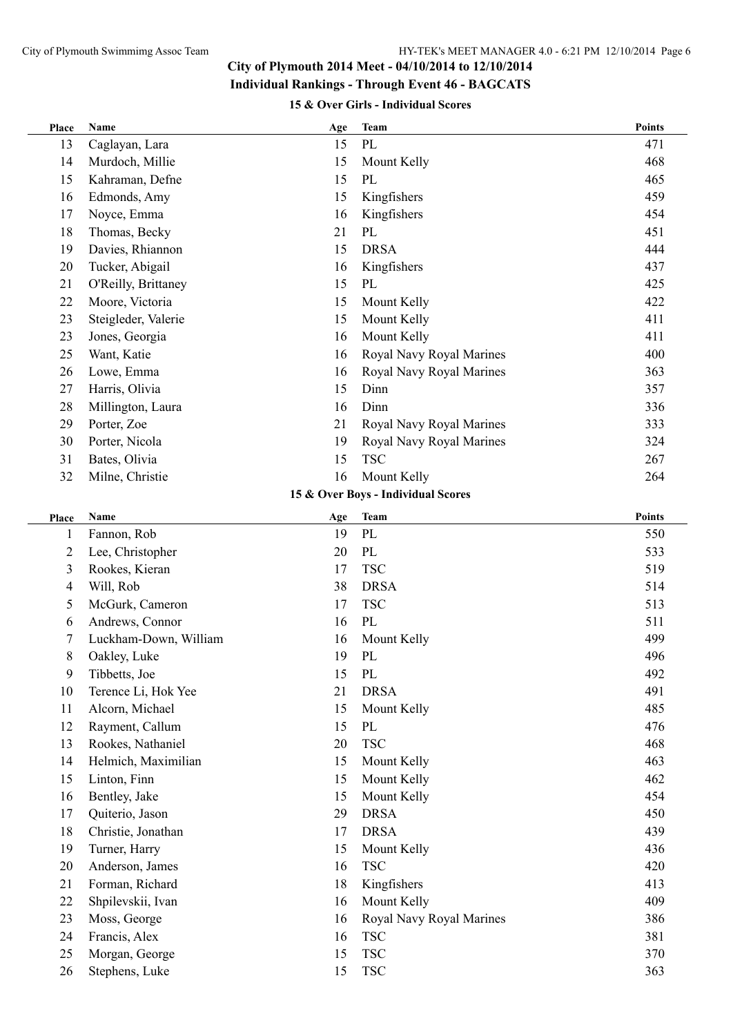# **15 & Over Girls - Individual Scores**

| Place          | Name                  | Age | <b>Team</b>                        | <b>Points</b> |
|----------------|-----------------------|-----|------------------------------------|---------------|
| 13             | Caglayan, Lara        | 15  | PL                                 | 471           |
| 14             | Murdoch, Millie       | 15  | Mount Kelly                        | 468           |
| 15             | Kahraman, Defne       | 15  | PL                                 | 465           |
| 16             | Edmonds, Amy          | 15  | Kingfishers                        | 459           |
| 17             | Noyce, Emma           | 16  | Kingfishers                        | 454           |
| 18             | Thomas, Becky         | 21  | PL                                 | 451           |
| 19             | Davies, Rhiannon      | 15  | <b>DRSA</b>                        | 444           |
| 20             | Tucker, Abigail       | 16  | Kingfishers                        | 437           |
| 21             | O'Reilly, Brittaney   | 15  | PL                                 | 425           |
| 22             | Moore, Victoria       | 15  | Mount Kelly                        | 422           |
| 23             | Steigleder, Valerie   | 15  | Mount Kelly                        | 411           |
| 23             | Jones, Georgia        | 16  | Mount Kelly                        | 411           |
| 25             | Want, Katie           | 16  | Royal Navy Royal Marines           | 400           |
| 26             | Lowe, Emma            | 16  | Royal Navy Royal Marines           | 363           |
| 27             | Harris, Olivia        | 15  | Dinn                               | 357           |
| 28             | Millington, Laura     | 16  | Dinn                               | 336           |
| 29             | Porter, Zoe           | 21  | Royal Navy Royal Marines           | 333           |
| 30             | Porter, Nicola        | 19  | Royal Navy Royal Marines           | 324           |
| 31             | Bates, Olivia         | 15  | <b>TSC</b>                         | 267           |
| 32             | Milne, Christie       | 16  | Mount Kelly                        | 264           |
|                |                       |     | 15 & Over Boys - Individual Scores |               |
| Place          | Name                  | Age | <b>Team</b>                        | <b>Points</b> |
| $\mathbf{1}$   | Fannon, Rob           | 19  | PL                                 | 550           |
| $\overline{2}$ | Lee, Christopher      | 20  | PL                                 | 533           |
| $\mathfrak{Z}$ | Rookes, Kieran        | 17  | <b>TSC</b>                         | 519           |
| 4              | Will, Rob             | 38  | <b>DRSA</b>                        | 514           |
| 5              | McGurk, Cameron       | 17  | <b>TSC</b>                         | 513           |
| 6              | Andrews, Connor       | 16  | PL                                 | 511           |
| 7              | Luckham-Down, William | 16  | Mount Kelly                        | 499           |
| 8              | Oakley, Luke          | 19  | PL                                 | 496           |
| 9              | Tibbetts, Joe         | 15  | PL                                 | 492           |
| 10             | Terence Li, Hok Yee   | 21  | <b>DRSA</b>                        | 491           |
| 11             | Alcorn, Michael       | 15  | Mount Kelly                        | 485           |
| 12             | Rayment, Callum       | 15  | PL                                 | 476           |
| 13             | Rookes, Nathaniel     | 20  | <b>TSC</b>                         | 468           |
| 14             | Helmich, Maximilian   | 15  | Mount Kelly                        | 463           |
| 15             | Linton, Finn          | 15  | Mount Kelly                        | 462           |
| 16             | Bentley, Jake         | 15  | Mount Kelly                        | 454           |
| 17             | Quiterio, Jason       | 29  | <b>DRSA</b>                        | 450           |
| 18             | Christie, Jonathan    | 17  | <b>DRSA</b>                        | 439           |
| 19             | Turner, Harry         | 15  | Mount Kelly                        | 436           |
| 20             | Anderson, James       | 16  | <b>TSC</b>                         | 420           |
| 21             | Forman, Richard       | 18  | Kingfishers                        | 413           |
| 22             | Shpilevskii, Ivan     | 16  | Mount Kelly                        | 409           |
| 23             | Moss, George          | 16  | Royal Navy Royal Marines           | 386           |
| 24             | Francis, Alex         | 16  | <b>TSC</b>                         | 381           |
| 25             | Morgan, George        | 15  | <b>TSC</b>                         | 370           |
| 26             | Stephens, Luke        | 15  | <b>TSC</b>                         | 363           |